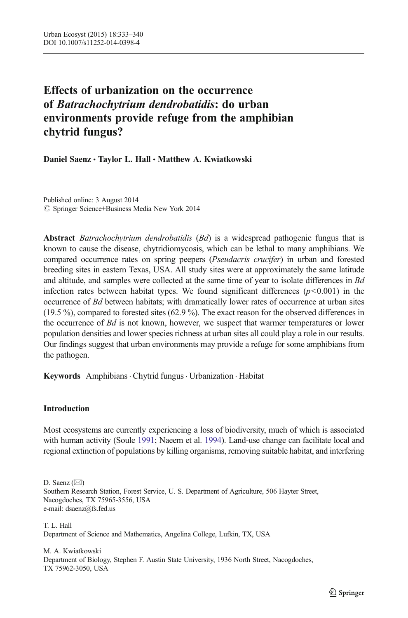# Effects of urbanization on the occurrence of Batrachochytrium dendrobatidis: do urban environments provide refuge from the amphibian chytrid fungus?

Daniel Saenz · Taylor L. Hall · Matthew A. Kwiatkowski

Published online: 3 August 2014  $\oslash$  Springer Science+Business Media New York 2014

Abstract Batrachochytrium dendrobatidis (Bd) is a widespread pathogenic fungus that is known to cause the disease, chytridiomycosis, which can be lethal to many amphibians. We compared occurrence rates on spring peepers (Pseudacris crucifer) in urban and forested breeding sites in eastern Texas, USA. All study sites were at approximately the same latitude and altitude, and samples were collected at the same time of year to isolate differences in Bd infection rates between habitat types. We found significant differences  $(p<0.001)$  in the occurrence of Bd between habitats; with dramatically lower rates of occurrence at urban sites (19.5 %), compared to forested sites (62.9 %). The exact reason for the observed differences in the occurrence of  $Bd$  is not known, however, we suspect that warmer temperatures or lower population densities and lower species richness at urban sites all could play a role in our results. Our findings suggest that urban environments may provide a refuge for some amphibians from the pathogen.

Keywords Amphibians. Chytrid fungus. Urbanization . Habitat

## Introduction

Most ecosystems are currently experiencing a loss of biodiversity, much of which is associated with human activity (Soule [1991;](#page-7-0) Naeem et al. [1994\)](#page-7-0). Land-use change can facilitate local and regional extinction of populations by killing organisms, removing suitable habitat, and interfering

D. Saenz  $(\boxtimes)$ 

M. A. Kwiatkowski Department of Biology, Stephen F. Austin State University, 1936 North Street, Nacogdoches, TX 75962-3050, USA

Southern Research Station, Forest Service, U. S. Department of Agriculture, 506 Hayter Street, Nacogdoches, TX 75965-3556, USA e-mail: dsaenz@fs.fed.us

T. L. Hall Department of Science and Mathematics, Angelina College, Lufkin, TX, USA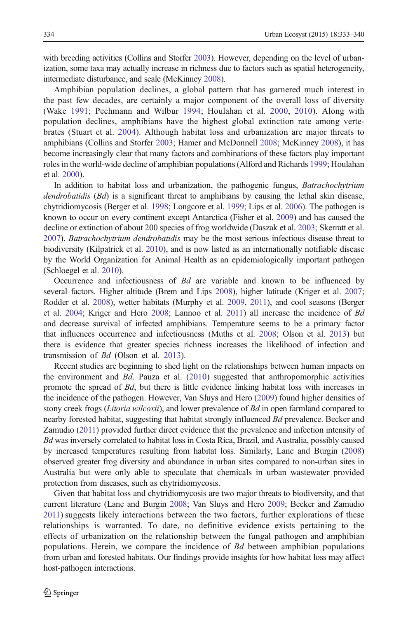with breeding activities (Collins and Storfer [2003](#page-6-0)). However, depending on the level of urbanization, some taxa may actually increase in richness due to factors such as spatial heterogeneity, intermediate disturbance, and scale (McKinney [2008\)](#page-6-0).

Amphibian population declines, a global pattern that has garnered much interest in the past few decades, are certainly a major component of the overall loss of diversity (Wake [1991](#page-7-0); Pechmann and Wilbur [1994](#page-7-0); Houlahan et al. [2000](#page-6-0), [2010\)](#page-6-0). Along with population declines, amphibians have the highest global extinction rate among vertebrates (Stuart et al. [2004](#page-7-0)). Although habitat loss and urbanization are major threats to amphibians (Collins and Storfer [2003](#page-6-0); Hamer and McDonnell [2008;](#page-6-0) McKinney [2008\)](#page-6-0), it has become increasingly clear that many factors and combinations of these factors play important roles in the world-wide decline of amphibian populations (Alford and Richards [1999](#page-5-0); Houlahan et al. [2000\)](#page-6-0).

In addition to habitat loss and urbanization, the pathogenic fungus, *Batrachochytrium* dendrobatidis (Bd) is a significant threat to amphibians by causing the lethal skin disease, chytridiomycosis (Berger et al. [1998](#page-6-0); Longcore et al. [1999;](#page-6-0) Lips et al. [2006\)](#page-6-0). The pathogen is known to occur on every continent except Antarctica (Fisher et al. [2009](#page-6-0)) and has caused the decline or extinction of about 200 species of frog worldwide (Daszak et al. [2003](#page-6-0); Skerratt et al. [2007](#page-7-0)). Batrachochytrium dendrobatidis may be the most serious infectious disease threat to biodiversity (Kilpatrick et al. [2010\)](#page-6-0), and is now listed as an internationally notifiable disease by the World Organization for Animal Health as an epidemiologically important pathogen (Schloegel et al. [2010](#page-7-0)).

Occurrence and infectiousness of Bd are variable and known to be influenced by several factors. Higher altitude (Brem and Lips [2008\)](#page-6-0), higher latitude (Kriger et al. [2007](#page-6-0); Rodder et al. [2008\)](#page-7-0), wetter habitats (Murphy et al. [2009,](#page-7-0) [2011\)](#page-7-0), and cool seasons (Berger et al. [2004;](#page-6-0) Kriger and Hero [2008;](#page-6-0) Lannoo et al. [2011](#page-6-0)) all increase the incidence of Bd and decrease survival of infected amphibians. Temperature seems to be a primary factor that influences occurrence and infectiousness (Muths et al. [2008;](#page-7-0) Olson et al. [2013](#page-7-0)) but there is evidence that greater species richness increases the likelihood of infection and transmission of Bd (Olson et al. [2013\)](#page-7-0).

Recent studies are beginning to shed light on the relationships between human impacts on the environment and Bd. Pauza et al. ([2010\)](#page-7-0) suggested that anthropomorphic activities promote the spread of Bd, but there is little evidence linking habitat loss with increases in the incidence of the pathogen. However, Van Sluys and Hero [\(2009\)](#page-7-0) found higher densities of stony creek frogs (Litoria wilcoxii), and lower prevalence of Bd in open farmland compared to nearby forested habitat, suggesting that habitat strongly influenced Bd prevalence. Becker and Zamudio [\(2011\)](#page-6-0) provided further direct evidence that the prevalence and infection intensity of Bd was inversely correlated to habitat loss in Costa Rica, Brazil, and Australia, possibly caused by increased temperatures resulting from habitat loss. Similarly, Lane and Burgin [\(2008\)](#page-6-0) observed greater frog diversity and abundance in urban sites compared to non-urban sites in Australia but were only able to speculate that chemicals in urban wastewater provided protection from diseases, such as chytridiomycosis.

Given that habitat loss and chytridiomycosis are two major threats to biodiversity, and that current literature (Lane and Burgin [2008](#page-6-0); Van Sluys and Hero [2009;](#page-7-0) Becker and Zamudio [2011\)](#page-6-0) suggests likely interactions between the two factors, further explorations of these relationships is warranted. To date, no definitive evidence exists pertaining to the effects of urbanization on the relationship between the fungal pathogen and amphibian populations. Herein, we compare the incidence of Bd between amphibian populations from urban and forested habitats. Our findings provide insights for how habitat loss may affect host-pathogen interactions.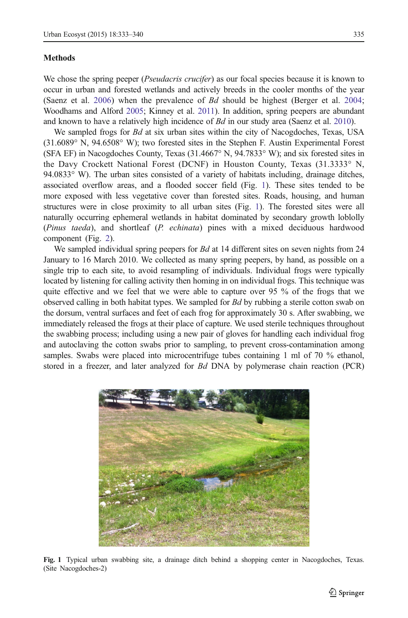#### **Methods**

We chose the spring peeper (*Pseudacris crucifer*) as our focal species because it is known to occur in urban and forested wetlands and actively breeds in the cooler months of the year (Saenz et al. [2006\)](#page-7-0) when the prevalence of Bd should be highest (Berger et al. [2004](#page-6-0); Woodhams and Alford [2005;](#page-7-0) Kinney et al. [2011](#page-6-0)). In addition, spring peepers are abundant and known to have a relatively high incidence of  $Bd$  in our study area (Saenz et al. [2010](#page-7-0)).

We sampled frogs for *Bd* at six urban sites within the city of Nacogdoches, Texas, USA (31.6089° N, 94.6508° W); two forested sites in the Stephen F. Austin Experimental Forest (SFA EF) in Nacogdoches County, Texas (31.4667° N, 94.7833° W); and six forested sites in the Davy Crockett National Forest (DCNF) in Houston County, Texas (31.3333° N, 94.0833 $\degree$  W). The urban sites consisted of a variety of habitats including, drainage ditches, associated overflow areas, and a flooded soccer field (Fig. 1). These sites tended to be more exposed with less vegetative cover than forested sites. Roads, housing, and human structures were in close proximity to all urban sites (Fig. 1). The forested sites were all naturally occurring ephemeral wetlands in habitat dominated by secondary growth loblolly (Pinus taeda), and shortleaf (P. echinata) pines with a mixed deciduous hardwood component (Fig. [2](#page-3-0)).

We sampled individual spring peepers for  $Bd$  at 14 different sites on seven nights from 24 January to 16 March 2010. We collected as many spring peepers, by hand, as possible on a single trip to each site, to avoid resampling of individuals. Individual frogs were typically located by listening for calling activity then homing in on individual frogs. This technique was quite effective and we feel that we were able to capture over 95 % of the frogs that we observed calling in both habitat types. We sampled for *Bd* by rubbing a sterile cotton swab on the dorsum, ventral surfaces and feet of each frog for approximately 30 s. After swabbing, we immediately released the frogs at their place of capture. We used sterile techniques throughout the swabbing process; including using a new pair of gloves for handling each individual frog and autoclaving the cotton swabs prior to sampling, to prevent cross-contamination among samples. Swabs were placed into microcentrifuge tubes containing 1 ml of 70 % ethanol, stored in a freezer, and later analyzed for Bd DNA by polymerase chain reaction (PCR)



Fig. 1 Typical urban swabbing site, a drainage ditch behind a shopping center in Nacogdoches, Texas. (Site Nacogdoches-2)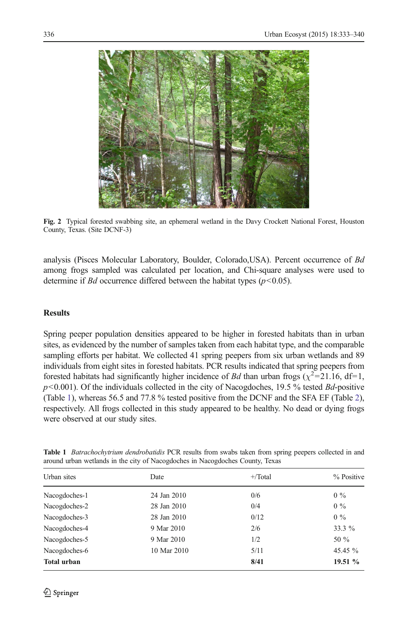<span id="page-3-0"></span>

Fig. 2 Typical forested swabbing site, an ephemeral wetland in the Davy Crockett National Forest, Houston County, Texas. (Site DCNF-3)

analysis (Pisces Molecular Laboratory, Boulder, Colorado, USA). Percent occurrence of Bd among frogs sampled was calculated per location, and Chi-square analyses were used to determine if *Bd* occurrence differed between the habitat types  $(p<0.05)$ .

## **Results**

Spring peeper population densities appeared to be higher in forested habitats than in urban sites, as evidenced by the number of samples taken from each habitat type, and the comparable sampling efforts per habitat. We collected 41 spring peepers from six urban wetlands and 89 individuals from eight sites in forested habitats. PCR results indicated that spring peepers from forested habitats had significantly higher incidence of Bd than urban frogs ( $\chi^2$ =21.16, df=1,  $p$ <0.001). Of the individuals collected in the city of Nacogdoches, 19.5 % tested  $Bd$ -positive (Table 1), whereas 56.5 and 77.8 % tested positive from the DCNF and the SFA EF (Table [2](#page-4-0)), respectively. All frogs collected in this study appeared to be healthy. No dead or dying frogs were observed at our study sites.

| Urban sites        | Date        | $+$ Total | % Positive |
|--------------------|-------------|-----------|------------|
| Nacogdoches-1      | 24 Jan 2010 | 0/6       | $0\%$      |
| Nacogdoches-2      | 28 Jan 2010 | 0/4       | $0\%$      |
| Nacogdoches-3      | 28 Jan 2010 | 0/12      | $0\%$      |
| Nacogdoches-4      | 9 Mar 2010  | 2/6       | 33.3 %     |
| Nacogdoches-5      | 9 Mar 2010  | 1/2       | 50 $\%$    |
| Nacogdoches-6      | 10 Mar 2010 | 5/11      | 45.45 $\%$ |
| <b>Total urban</b> |             | 8/41      | 19.51 $\%$ |

Table 1 *Batrachochytrium dendrobatidis* PCR results from swabs taken from spring peepers collected in and around urban wetlands in the city of Nacogdoches in Nacogdoches County, Texas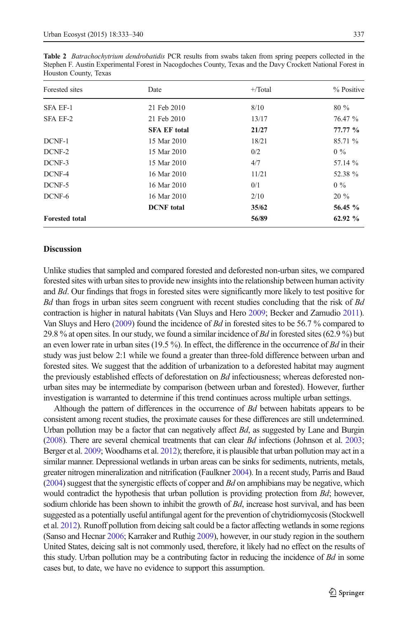| Forested sites        | Date                | $+$ Total | % Positive |
|-----------------------|---------------------|-----------|------------|
| <b>SFA EF-1</b>       | 21 Feb 2010         | 8/10      | $80\%$     |
| SFA EF-2              | 21 Feb 2010         | 13/17     | 76.47 %    |
|                       | <b>SFA EF total</b> | 21/27     | 77.77%     |
| DCNF-1                | 15 Mar 2010         | 18/21     | 85.71 %    |
| DCNF-2                | 15 Mar 2010         | 0/2       | $0\%$      |
| DCNF-3                | 15 Mar 2010         | 4/7       | 57.14 %    |
| DCNF-4                | 16 Mar 2010         | 11/21     | 52.38 %    |
| DCNF-5                | 16 Mar 2010         | 0/1       | $0\%$      |
| DCNF-6                | 16 Mar 2010         | 2/10      | $20\%$     |
|                       | <b>DCNF</b> total   | 35/62     | 56.45 %    |
| <b>Forested total</b> |                     | 56/89     | 62.92 $\%$ |

<span id="page-4-0"></span>Table 2 Batrachochytrium dendrobatidis PCR results from swabs taken from spring peepers collected in the Stephen F. Austin Experimental Forest in Nacogdoches County, Texas and the Davy Crockett National Forest in Houston County, Texas

#### **Discussion**

Unlike studies that sampled and compared forested and deforested non-urban sites, we compared forested sites with urban sites to provide new insights into the relationship between human activity and Bd. Our findings that frogs in forested sites were significantly more likely to test positive for Bd than frogs in urban sites seem congruent with recent studies concluding that the risk of Bd contraction is higher in natural habitats (Van Sluys and Hero [2009;](#page-7-0) Becker and Zamudio [2011](#page-6-0)). Van Sluys and Hero ([2009\)](#page-7-0) found the incidence of Bd in forested sites to be 56.7 % compared to 29.8 % at open sites. In our study, we found a similar incidence of Bd in forested sites (62.9 %) but an even lower rate in urban sites  $(19.5 \%)$ . In effect, the difference in the occurrence of Bd in their study was just below 2:1 while we found a greater than three-fold difference between urban and forested sites. We suggest that the addition of urbanization to a deforested habitat may augment the previously established effects of deforestation on Bd infectiousness; whereas deforested nonurban sites may be intermediate by comparison (between urban and forested). However, further investigation is warranted to determine if this trend continues across multiple urban settings.

Although the pattern of differences in the occurrence of Bd between habitats appears to be consistent among recent studies, the proximate causes for these differences are still undetermined. Urban pollution may be a factor that can negatively affect  $Bd$ , as suggested by Lane and Burgin ([2008](#page-6-0)). There are several chemical treatments that can clear  $Bd$  infections (Johnson et al. [2003](#page-6-0); Berger et al. [2009;](#page-6-0) Woodhams et al. [2012\)](#page-7-0); therefore, it is plausible that urban pollution may act in a similar manner. Depressional wetlands in urban areas can be sinks for sediments, nutrients, metals, greater nitrogen mineralization and nitrification (Faulkner [2004](#page-6-0)). In a recent study, Parris and Baud  $(2004)$  $(2004)$  $(2004)$  suggest that the synergistic effects of copper and Bd on amphibians may be negative, which would contradict the hypothesis that urban pollution is providing protection from Bd; however, sodium chloride has been shown to inhibit the growth of *Bd*, increase host survival, and has been suggested as a potentially useful antifungal agent for the prevention of chytridiomycosis (Stockwell et al. [2012](#page-7-0)). Runoff pollution from deicing salt could be a factor affecting wetlands in some regions (Sanso and Hecnar [2006](#page-7-0); Karraker and Ruthig [2009](#page-6-0)), however, in our study region in the southern United States, deicing salt is not commonly used, therefore, it likely had no effect on the results of this study. Urban pollution may be a contributing factor in reducing the incidence of  $Bd$  in some cases but, to date, we have no evidence to support this assumption.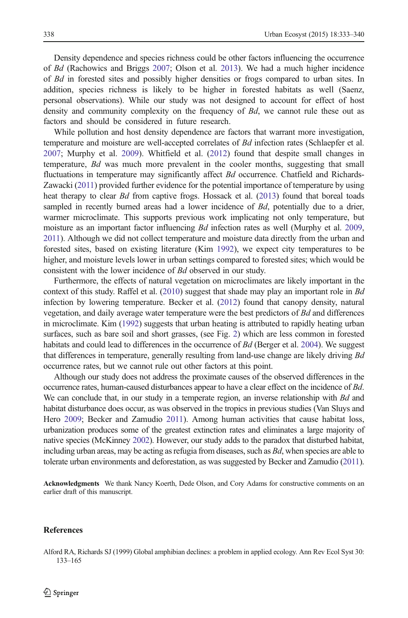<span id="page-5-0"></span>Density dependence and species richness could be other factors influencing the occurrence of Bd (Rachowics and Briggs [2007](#page-7-0); Olson et al. [2013](#page-7-0)). We had a much higher incidence of Bd in forested sites and possibly higher densities or frogs compared to urban sites. In addition, species richness is likely to be higher in forested habitats as well (Saenz, personal observations). While our study was not designed to account for effect of host density and community complexity on the frequency of Bd, we cannot rule these out as factors and should be considered in future research.

While pollution and host density dependence are factors that warrant more investigation, temperature and moisture are well-accepted correlates of Bd infection rates (Schlaepfer et al. [2007](#page-7-0); Murphy et al. [2009\)](#page-7-0). Whitfield et al. [\(2012\)](#page-7-0) found that despite small changes in temperature, Bd was much more prevalent in the cooler months, suggesting that small fluctuations in temperature may significantly affect *Bd* occurrence. Chatfield and Richards-Zawacki [\(2011\)](#page-6-0) provided further evidence for the potential importance of temperature by using heat therapy to clear *Bd* from captive frogs. Hossack et al. [\(2013\)](#page-6-0) found that boreal toads sampled in recently burned areas had a lower incidence of Bd, potentially due to a drier, warmer microclimate. This supports previous work implicating not only temperature, but moisture as an important factor influencing *Bd* infection rates as well (Murphy et al. [2009](#page-7-0), [2011\)](#page-7-0). Although we did not collect temperature and moisture data directly from the urban and forested sites, based on existing literature (Kim [1992](#page-6-0)), we expect city temperatures to be higher, and moisture levels lower in urban settings compared to forested sites; which would be consistent with the lower incidence of Bd observed in our study.

Furthermore, the effects of natural vegetation on microclimates are likely important in the context of this study. Raffel et al.  $(2010)$  suggest that shade may play an important role in Bd infection by lowering temperature. Becker et al. [\(2012\)](#page-6-0) found that canopy density, natural vegetation, and daily average water temperature were the best predictors of Bd and differences in microclimate. Kim [\(1992\)](#page-6-0) suggests that urban heating is attributed to rapidly heating urban surfaces, such as bare soil and short grasses, (see Fig. [2\)](#page-3-0) which are less common in forested habitats and could lead to differences in the occurrence of  $Bd$  (Berger et al. [2004\)](#page-6-0). We suggest that differences in temperature, generally resulting from land-use change are likely driving Bd occurrence rates, but we cannot rule out other factors at this point.

Although our study does not address the proximate causes of the observed differences in the occurrence rates, human-caused disturbances appear to have a clear effect on the incidence of Bd. We can conclude that, in our study in a temperate region, an inverse relationship with Bd and habitat disturbance does occur, as was observed in the tropics in previous studies (Van Sluys and Hero [2009;](#page-7-0) Becker and Zamudio [2011\)](#page-6-0). Among human activities that cause habitat loss, urbanization produces some of the greatest extinction rates and eliminates a large majority of native species (McKinney [2002](#page-6-0)). However, our study adds to the paradox that disturbed habitat, including urban areas, may be acting as refugia from diseases, such as  $Bd$ , when species are able to tolerate urban environments and deforestation, as was suggested by Becker and Zamudio ([2011](#page-6-0)).

Acknowledgments We thank Nancy Koerth, Dede Olson, and Cory Adams for constructive comments on an earlier draft of this manuscript.

### References

Alford RA, Richards SJ (1999) Global amphibian declines: a problem in applied ecology. Ann Rev Ecol Syst 30: 133–165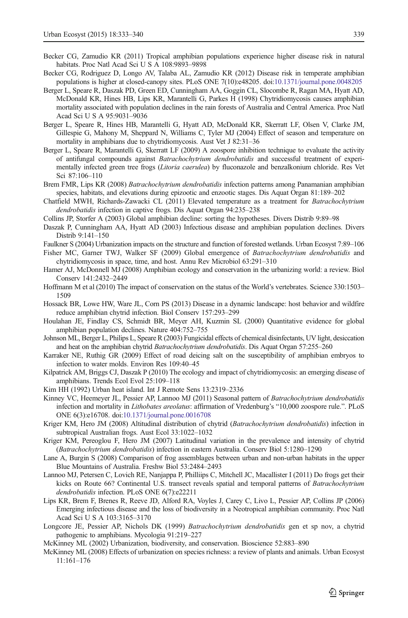- <span id="page-6-0"></span>Becker CG, Zamudio KR (2011) Tropical amphibian populations experience higher disease risk in natural habitats. Proc Natl Acad Sci U S A 108:9893–9898
- Becker CG, Rodriguez D, Longo AV, Talaba AL, Zamudio KR (2012) Disease risk in temperate amphibian populations is higher at closed-canopy sites. PLoS ONE 7(10):e48205. doi:[10.1371/journal.pone.0048205](http://dx.doi.org/10.1371/journal.pone.0048205)
- Berger L, Speare R, Daszak PD, Green ED, Cunningham AA, Goggin CL, Slocombe R, Ragan MA, Hyatt AD, McDonald KR, Hines HB, Lips KR, Marantelli G, Parkes H (1998) Chytridiomycosis causes amphibian mortality associated with population declines in the rain forests of Australia and Central America. Proc Natl Acad Sci U S A 95:9031–9036
- Berger L, Speare R, Hines HB, Marantelli G, Hyatt AD, McDonald KR, Skerratt LF, Olsen V, Clarke JM, Gillespie G, Mahony M, Sheppard N, Williams C, Tyler MJ (2004) Effect of season and temperature on mortality in amphibians due to chytridiomycosis. Aust Vet J 82:31–36
- Berger L, Speare R, Marantelli G, Skerratt LF (2009) A zoospore inhibition technique to evaluate the activity of antifungal compounds against Batrachochytrium dendrobatidis and successful treatment of experimentally infected green tree frogs (Litoria caerulea) by fluconazole and benzalkonium chloride. Res Vet Sci 87:106–110
- Brem FMR, Lips KR (2008) Batrachochytrium dendrobatidis infection patterns among Panamanian amphibian species, habitats, and elevations during epizootic and enzootic stages. Dis Aquat Organ 81:189–202
- Chatfield MWH, Richards-Zawacki CL (2011) Elevated temperature as a treatment for Batrachochytrium dendrobatidis infection in captive frogs. Dis Aquat Organ 94:235–238
- Collins JP, Storfer A (2003) Global amphibian decline: sorting the hypotheses. Divers Distrib 9:89–98
- Daszak P, Cunningham AA, Hyatt AD (2003) Infectious disease and amphibian population declines. Divers Distrib 9:141–150
- Faulkner S (2004) Urbanization impacts on the structure and function of forested wetlands. Urban Ecosyst 7:89–106
- Fisher MC, Garner TWJ, Walker SF (2009) Global emergence of Batrachochytrium dendrobatidis and chytridiomycosis in space, time, and host. Annu Rev Microbiol 63:291–310
- Hamer AJ, McDonnell MJ (2008) Amphibian ecology and conservation in the urbanizing world: a review. Biol Conserv 141:2432–2449
- Hoffmann M et al (2010) The impact of conservation on the status of the World's vertebrates. Science 330:1503– 1509
- Hossack BR, Lowe HW, Ware JL, Corn PS (2013) Disease in a dynamic landscape: host behavior and wildfire reduce amphibian chytrid infection. Biol Conserv 157:293–299
- Houlahan JE, Findlay CS, Schmidt BR, Meyer AH, Kuzmin SL (2000) Quantitative evidence for global amphibian population declines. Nature 404:752–755
- Johnson ML, Berger L, Philips L, Speare R (2003) Fungicidal effects of chemical disinfectants, UV light, desiccation and heat on the amphibian chytrid Batrachochytrium dendrobatidis. Dis Aquat Organ 57:255–260
- Karraker NE, Ruthig GR (2009) Effect of road deicing salt on the susceptibility of amphibian embryos to infection to water molds. Environ Res 109:40–45
- Kilpatrick AM, Briggs CJ, Daszak P (2010) The ecology and impact of chytridiomycosis: an emerging disease of amphibians. Trends Ecol Evol 25:109–118
- Kim HH (1992) Urban heat island. Int J Remote Sens 13:2319–2336
- Kinney VC, Heemeyer JL, Pessier AP, Lannoo MJ (2011) Seasonal pattern of Batrachochytrium dendrobatidis infection and mortality in Lithobates areolatus: affirmation of Vredenburg's "10,000 zoospore rule.". PLoS ONE 6(3):e16708. doi:[10.1371/journal.pone.0016708](http://dx.doi.org/10.1371/journal.pone.0016708)
- Kriger KM, Hero JM (2008) Altitudinal distribution of chytrid (Batrachochytrium dendrobatidis) infection in subtropical Australian frogs. Aust Ecol 33:1022–1032
- Kriger KM, Pereoglou F, Hero JM (2007) Latitudinal variation in the prevalence and intensity of chytrid (Batrachochytrium dendrobatidis) infection in eastern Australia. Conserv Biol 5:1280–1290
- Lane A, Burgin S (2008) Comparison of frog assemblages between urban and non-urban habitats in the upper Blue Mountains of Australia. Freshw Biol 53:2484–2493
- Lannoo MJ, Petersen C, Lovich RE, Nanjappa P, Philliips C, Mitchell JC, Macallister I (2011) Do frogs get their kicks on Route 66? Continental U.S. transect reveals spatial and temporal patterns of Batrachochytrium dendrobatidis infection. PLoS ONE 6(7):e22211
- Lips KR, Brem F, Brenes R, Reeve JD, Alford RA, Voyles J, Carey C, Livo L, Pessier AP, Collins JP (2006) Emerging infectious disease and the loss of biodiversity in a Neotropical amphibian community. Proc Natl Acad Sci U S A 103:3165–3170
- Longcore JE, Pessier AP, Nichols DK (1999) Batrachochytrium dendrobatidis gen et sp nov, a chytrid pathogenic to amphibians. Mycologia 91:219–227
- McKinney ML (2002) Urbanization, biodiversity, and conservation. Bioscience 52:883–890
- McKinney ML (2008) Effects of urbanization on species richness: a review of plants and animals. Urban Ecosyst 11:161–176